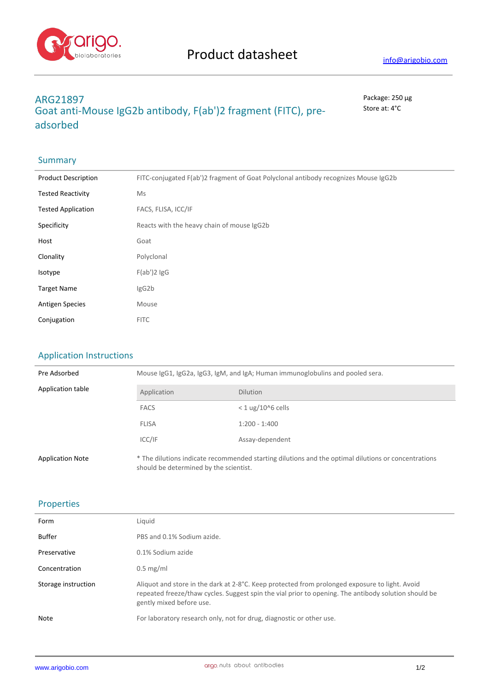

# **ARG21897** Package: 250 μg **Goat anti-Mouse IgG2b antibody, F(ab')2 fragment (FITC), preadsorbed**

Store at: 4°C

## **Summary**

| <b>Product Description</b> | FITC-conjugated F(ab')2 fragment of Goat Polyclonal antibody recognizes Mouse IgG2b |
|----------------------------|-------------------------------------------------------------------------------------|
| <b>Tested Reactivity</b>   | <b>Ms</b>                                                                           |
| <b>Tested Application</b>  | FACS, FLISA, ICC/IF                                                                 |
| Specificity                | Reacts with the heavy chain of mouse IgG2b                                          |
| Host                       | Goat                                                                                |
| Clonality                  | Polyclonal                                                                          |
| Isotype                    | $F(ab')2$ lgG                                                                       |
| <b>Target Name</b>         | IgG2b                                                                               |
| <b>Antigen Species</b>     | Mouse                                                                               |
| Conjugation                | <b>FITC</b>                                                                         |

## Application Instructions

| Pre Adsorbed            | Mouse IgG1, IgG2a, IgG3, IgM, and IgA; Human immunoglobulins and pooled sera. |                                                                                                     |  |
|-------------------------|-------------------------------------------------------------------------------|-----------------------------------------------------------------------------------------------------|--|
| Application table       | Application                                                                   | <b>Dilution</b>                                                                                     |  |
|                         | <b>FACS</b>                                                                   | $<$ 1 ug/10^6 cells                                                                                 |  |
|                         | <b>FLISA</b>                                                                  | $1:200 - 1:400$                                                                                     |  |
|                         | ICC/IF                                                                        | Assay-dependent                                                                                     |  |
| <b>Application Note</b> | should be determined by the scientist.                                        | * The dilutions indicate recommended starting dilutions and the optimal dilutions or concentrations |  |

### Properties

| Form                | Liquid                                                                                                                                                                                                                             |
|---------------------|------------------------------------------------------------------------------------------------------------------------------------------------------------------------------------------------------------------------------------|
| Buffer              | PBS and 0.1% Sodium azide.                                                                                                                                                                                                         |
| Preservative        | 0.1% Sodium azide                                                                                                                                                                                                                  |
| Concentration       | $0.5 \text{ mg/ml}$                                                                                                                                                                                                                |
| Storage instruction | Aliquot and store in the dark at 2-8°C. Keep protected from prolonged exposure to light. Avoid<br>repeated freeze/thaw cycles. Suggest spin the vial prior to opening. The antibody solution should be<br>gently mixed before use. |
| Note                | For laboratory research only, not for drug, diagnostic or other use.                                                                                                                                                               |